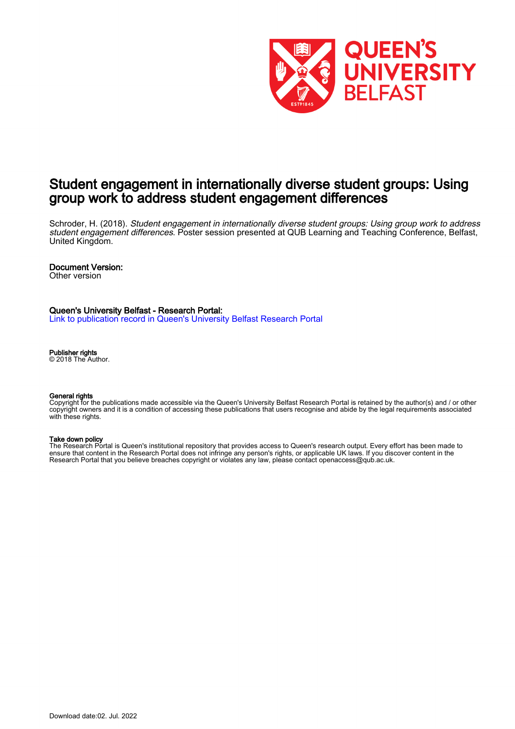

### Student engagement in internationally diverse student groups: Using group work to address student engagement differences

Schroder, H. (2018). Student engagement in internationally diverse student groups: Using group work to address student engagement differences. Poster session presented at QUB Learning and Teaching Conference, Belfast, United Kingdom.

#### Document Version:

Other version

#### Queen's University Belfast - Research Portal:

[Link to publication record in Queen's University Belfast Research Portal](https://pure.qub.ac.uk/en/publications/12d5571f-909b-4f08-9491-26e1c299567b)

#### Publisher rights

© 2018 The Author.

#### General rights

Copyright for the publications made accessible via the Queen's University Belfast Research Portal is retained by the author(s) and / or other copyright owners and it is a condition of accessing these publications that users recognise and abide by the legal requirements associated with these rights.

#### Take down policy

The Research Portal is Queen's institutional repository that provides access to Queen's research output. Every effort has been made to ensure that content in the Research Portal does not infringe any person's rights, or applicable UK laws. If you discover content in the Research Portal that you believe breaches copyright or violates any law, please contact openaccess@qub.ac.uk.